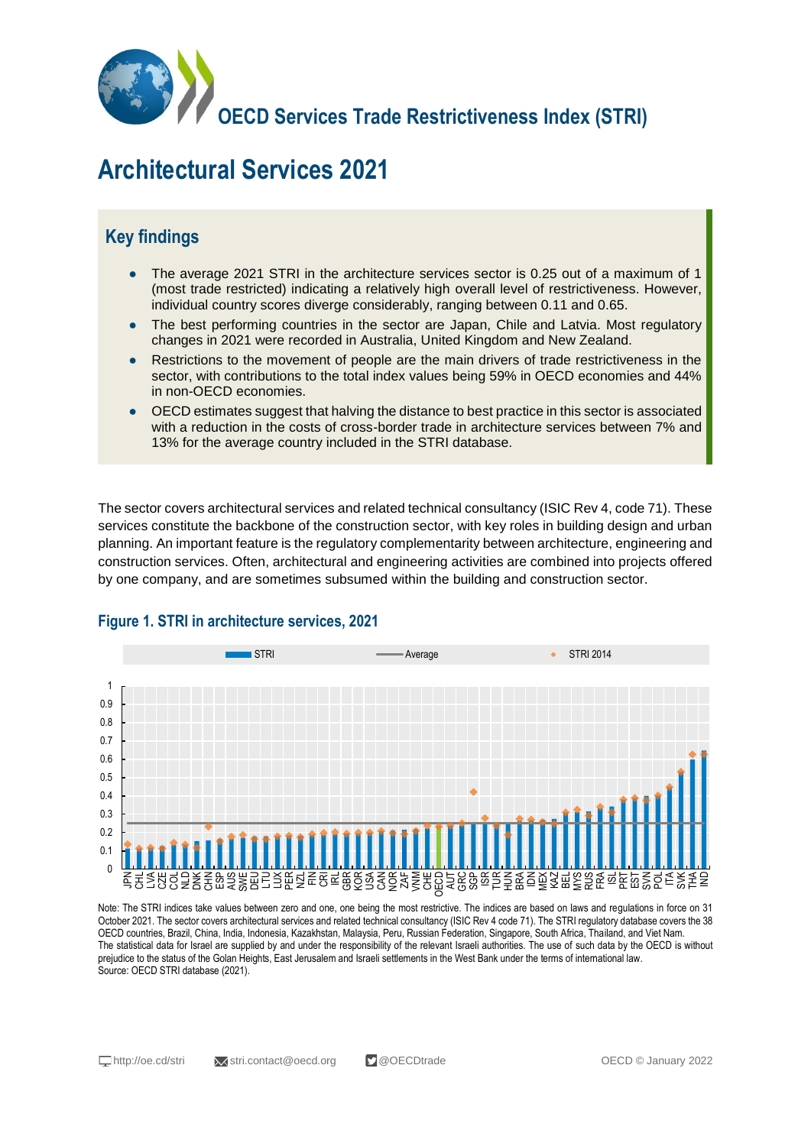

# **Architectural Services 2021**

## **Key findings**

- The average 2021 STRI in the architecture services sector is 0.25 out of a maximum of 1 (most trade restricted) indicating a relatively high overall level of restrictiveness. However, individual country scores diverge considerably, ranging between 0.11 and 0.65.
- The best performing countries in the sector are Japan, Chile and Latvia. Most regulatory changes in 2021 were recorded in Australia, United Kingdom and New Zealand.
- Restrictions to the movement of people are the main drivers of trade restrictiveness in the sector, with contributions to the total index values being 59% in OECD economies and 44% in non-OECD economies.
- OECD estimates suggest that halving the distance to best practice in this sector is associated with a reduction in the costs of cross-border trade in architecture services between 7% and 13% for the average country included in the STRI database.

The sector covers architectural services and related technical consultancy (ISIC Rev 4, code 71). These services constitute the backbone of the construction sector, with key roles in building design and urban planning. An important feature is the regulatory complementarity between architecture, engineering and construction services. Often, architectural and engineering activities are combined into projects offered by one company, and are sometimes subsumed within the building and construction sector.



#### **Figure 1. STRI in architecture services, 2021**

Note: The STRI indices take values between zero and one, one being the most restrictive. The indices are based on laws and regulations in force on 31 October 2021. The sector covers architectural services and related technical consultancy (ISIC Rev 4 code 71). The STRI regulatory database covers the 38 OECD countries, Brazil, China, India, Indonesia, Kazakhstan, Malaysia, Peru, Russian Federation, Singapore, South Africa, Thailand, and Viet Nam. The statistical data for Israel are supplied by and under the responsibility of the relevant Israeli authorities. The use of such data by the OECD is without prejudice to the status of the Golan Heights, East Jerusalem and Israeli settlements in the West Bank under the terms of international law. Source: OECD STRI database (2021).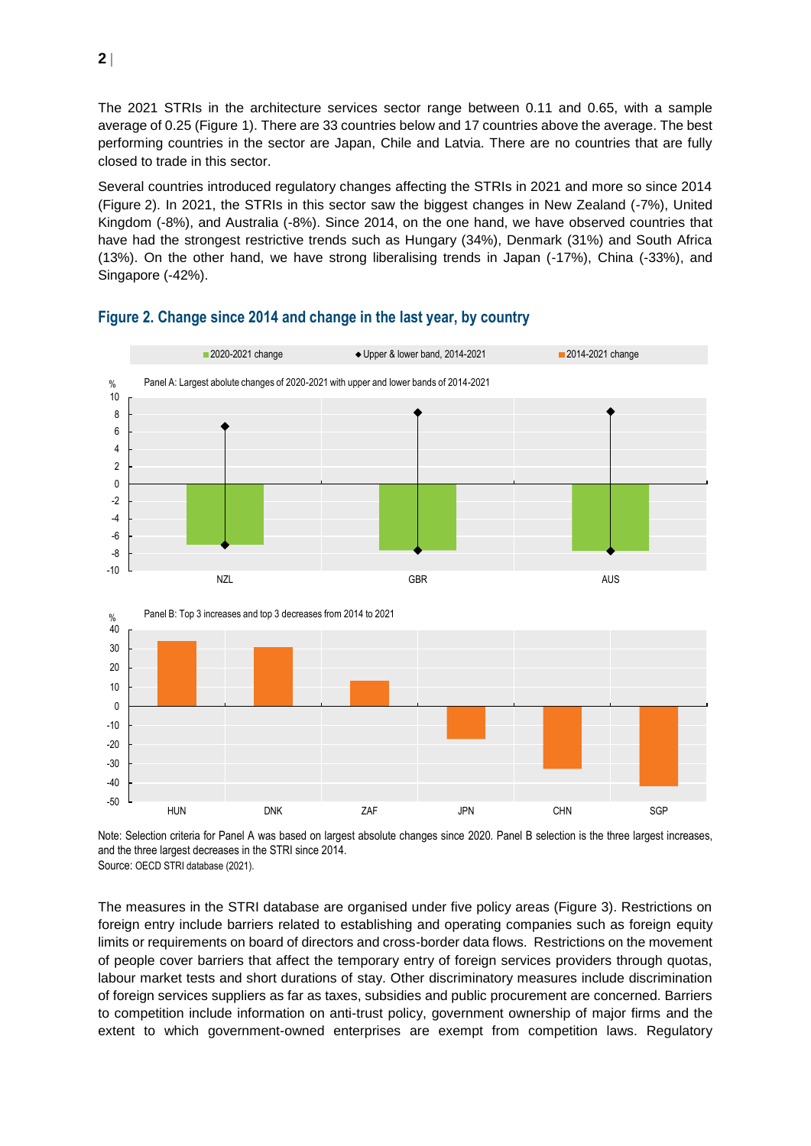The 2021 STRIs in the architecture services sector range between 0.11 and 0.65, with a sample average of 0.25 (Figure 1). There are 33 countries below and 17 countries above the average. The best performing countries in the sector are Japan, Chile and Latvia. There are no countries that are fully closed to trade in this sector.

Several countries introduced regulatory changes affecting the STRIs in 2021 and more so since 2014 (Figure 2). In 2021, the STRIs in this sector saw the biggest changes in New Zealand (-7%), United Kingdom (-8%), and Australia (-8%). Since 2014, on the one hand, we have observed countries that have had the strongest restrictive trends such as Hungary (34%), Denmark (31%) and South Africa (13%). On the other hand, we have strong liberalising trends in Japan (-17%), China (-33%), and Singapore (-42%).



#### **Figure 2. Change since 2014 and change in the last year, by country**

Note: Selection criteria for Panel A was based on largest absolute changes since 2020. Panel B selection is the three largest increases, and the three largest decreases in the STRI since 2014. Source: OECD STRI database (2021).

The measures in the STRI database are organised under five policy areas (Figure 3). Restrictions on foreign entry include barriers related to establishing and operating companies such as foreign equity limits or requirements on board of directors and cross-border data flows. Restrictions on the movement of people cover barriers that affect the temporary entry of foreign services providers through quotas, labour market tests and short durations of stay. Other discriminatory measures include discrimination of foreign services suppliers as far as taxes, subsidies and public procurement are concerned. Barriers to competition include information on anti-trust policy, government ownership of major firms and the extent to which government-owned enterprises are exempt from competition laws. Regulatory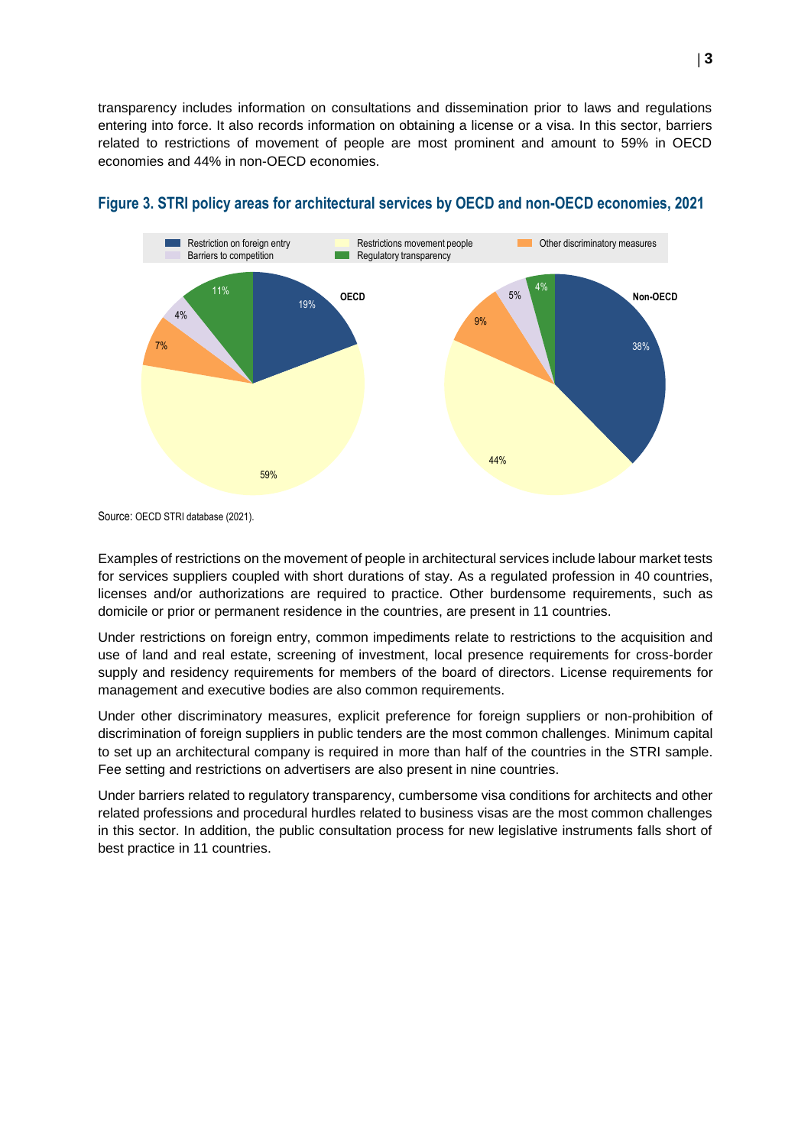transparency includes information on consultations and dissemination prior to laws and regulations entering into force. It also records information on obtaining a license or a visa. In this sector, barriers related to restrictions of movement of people are most prominent and amount to 59% in OECD economies and 44% in non-OECD economies.



#### **Figure 3. STRI policy areas for architectural services by OECD and non-OECD economies, 2021**

Source: OECD STRI database (2021).

Examples of restrictions on the movement of people in architectural services include labour market tests for services suppliers coupled with short durations of stay. As a regulated profession in 40 countries, licenses and/or authorizations are required to practice. Other burdensome requirements, such as domicile or prior or permanent residence in the countries, are present in 11 countries.

Under restrictions on foreign entry, common impediments relate to restrictions to the acquisition and use of land and real estate, screening of investment, local presence requirements for cross-border supply and residency requirements for members of the board of directors. License requirements for management and executive bodies are also common requirements.

Under other discriminatory measures, explicit preference for foreign suppliers or non-prohibition of discrimination of foreign suppliers in public tenders are the most common challenges. Minimum capital to set up an architectural company is required in more than half of the countries in the STRI sample. Fee setting and restrictions on advertisers are also present in nine countries.

Under barriers related to regulatory transparency, cumbersome visa conditions for architects and other related professions and procedural hurdles related to business visas are the most common challenges in this sector. In addition, the public consultation process for new legislative instruments falls short of best practice in 11 countries.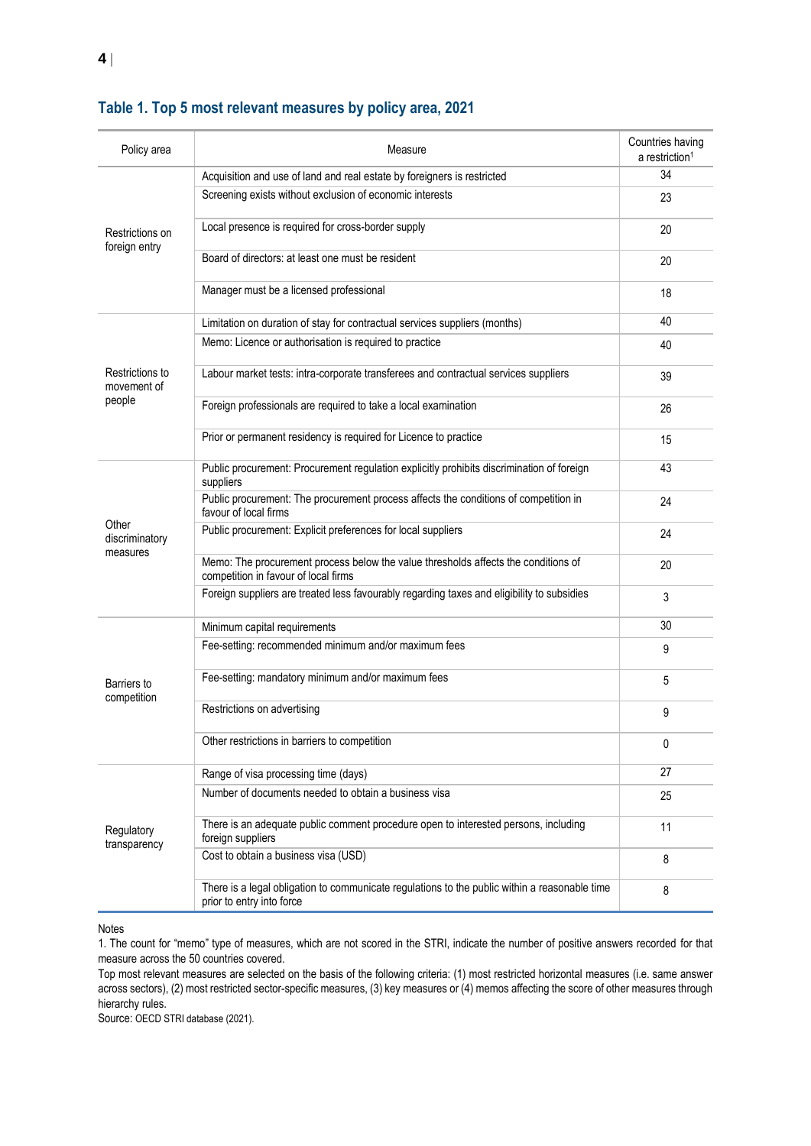| Policy area                              | Measure                                                                                                                    | Countries having<br>a restriction <sup>1</sup> |
|------------------------------------------|----------------------------------------------------------------------------------------------------------------------------|------------------------------------------------|
| Restrictions on<br>foreign entry         | Acquisition and use of land and real estate by foreigners is restricted                                                    | 34                                             |
|                                          | Screening exists without exclusion of economic interests                                                                   | 23                                             |
|                                          | Local presence is required for cross-border supply                                                                         | 20                                             |
|                                          | Board of directors: at least one must be resident                                                                          | 20                                             |
|                                          | Manager must be a licensed professional                                                                                    | 18                                             |
| Restrictions to<br>movement of<br>people | Limitation on duration of stay for contractual services suppliers (months)                                                 | 40                                             |
|                                          | Memo: Licence or authorisation is required to practice                                                                     | 40                                             |
|                                          | Labour market tests: intra-corporate transferees and contractual services suppliers                                        | 39                                             |
|                                          | Foreign professionals are required to take a local examination                                                             | 26                                             |
|                                          | Prior or permanent residency is required for Licence to practice                                                           | 15                                             |
| Other<br>discriminatory<br>measures      | Public procurement: Procurement regulation explicitly prohibits discrimination of foreign<br>suppliers                     | 43                                             |
|                                          | Public procurement: The procurement process affects the conditions of competition in<br>favour of local firms              | 24                                             |
|                                          | Public procurement: Explicit preferences for local suppliers                                                               | 24                                             |
|                                          | Memo: The procurement process below the value thresholds affects the conditions of<br>competition in favour of local firms | 20                                             |
|                                          | Foreign suppliers are treated less favourably regarding taxes and eligibility to subsidies                                 | 3                                              |
| Barriers to<br>competition               | Minimum capital requirements                                                                                               | 30                                             |
|                                          | Fee-setting: recommended minimum and/or maximum fees                                                                       | 9                                              |
|                                          | Fee-setting: mandatory minimum and/or maximum fees                                                                         | 5                                              |
|                                          | Restrictions on advertising                                                                                                | 9                                              |
|                                          | Other restrictions in barriers to competition                                                                              | 0                                              |
| Regulatory<br>transparency               | Range of visa processing time (days)                                                                                       | 27                                             |
|                                          | Number of documents needed to obtain a business visa                                                                       | 25                                             |
|                                          | There is an adequate public comment procedure open to interested persons, including<br>foreign suppliers                   | 11                                             |
|                                          | Cost to obtain a business visa (USD)                                                                                       | 8                                              |
|                                          | There is a legal obligation to communicate regulations to the public within a reasonable time<br>prior to entry into force | 8                                              |
|                                          |                                                                                                                            |                                                |

#### **Table 1. Top 5 most relevant measures by policy area, 2021**

#### Notes

1. The count for "memo" type of measures, which are not scored in the STRI, indicate the number of positive answers recorded for that measure across the 50 countries covered.

Top most relevant measures are selected on the basis of the following criteria: (1) most restricted horizontal measures (i.e. same answer across sectors), (2) most restricted sector-specific measures, (3) key measures or (4) memos affecting the score of other measures through hierarchy rules.

Source: OECD STRI database (2021).